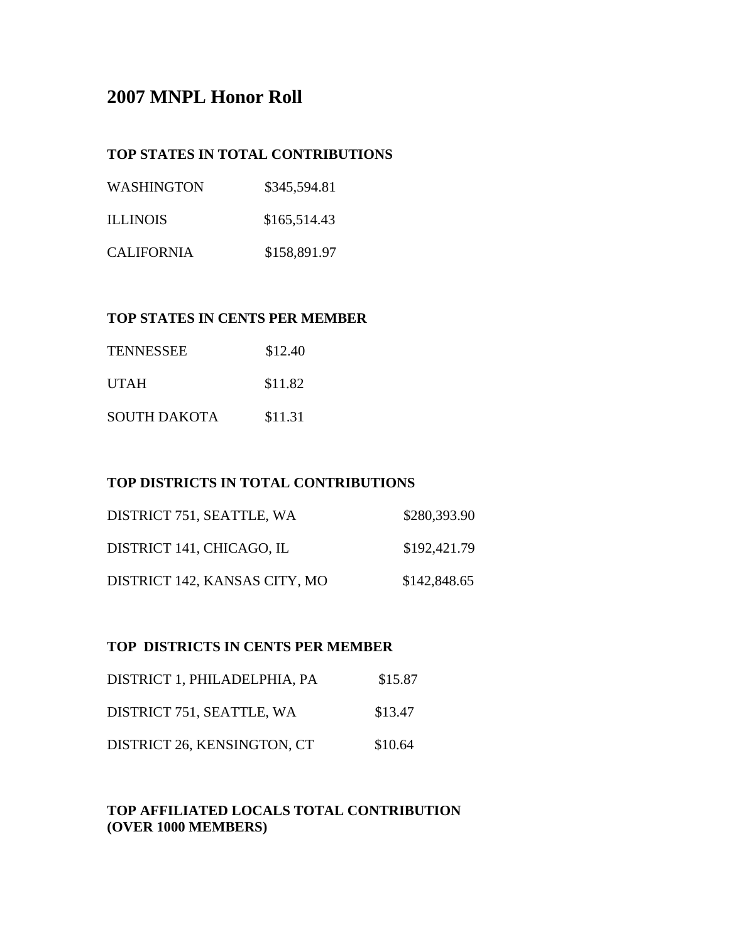# **2007 MNPL Honor Roll**

## **TOP STATES IN TOTAL CONTRIBUTIONS**

| WASHINGTON        | \$345,594.81 |
|-------------------|--------------|
| <b>ILLINOIS</b>   | \$165,514.43 |
| <b>CALIFORNIA</b> | \$158,891.97 |

## **TOP STATES IN CENTS PER MEMBER**

| <b>TENNESSEE</b>    | \$12.40 |
|---------------------|---------|
| <b>UTAH</b>         | \$11.82 |
| <b>SOUTH DAKOTA</b> | \$11.31 |

#### **TOP DISTRICTS IN TOTAL CONTRIBUTIONS**

| DISTRICT 751, SEATTLE, WA     | \$280,393.90 |
|-------------------------------|--------------|
| DISTRICT 141, CHICAGO, IL     | \$192,421.79 |
| DISTRICT 142, KANSAS CITY, MO | \$142,848.65 |

#### **TOP DISTRICTS IN CENTS PER MEMBER**

| DISTRICT 1, PHILADELPHIA, PA | \$15.87 |
|------------------------------|---------|
| DISTRICT 751, SEATTLE, WA    | \$13.47 |
| DISTRICT 26, KENSINGTON, CT  | \$10.64 |

# **TOP AFFILIATED LOCALS TOTAL CONTRIBUTION (OVER 1000 MEMBERS)**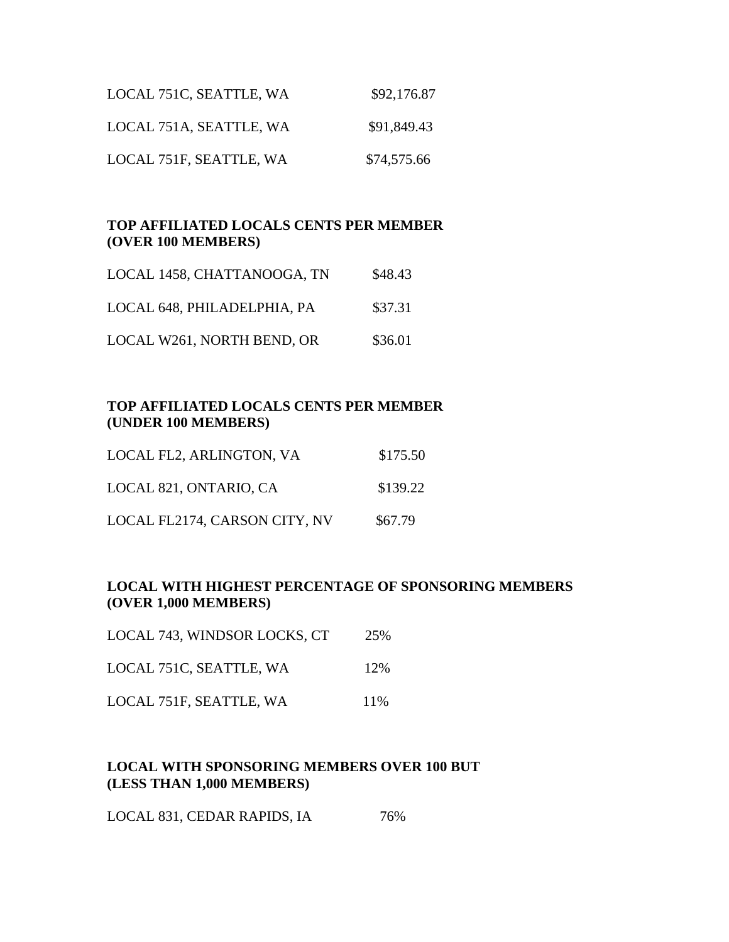| LOCAL 751C, SEATTLE, WA | \$92,176.87 |
|-------------------------|-------------|
| LOCAL 751A, SEATTLE, WA | \$91,849.43 |
| LOCAL 751F, SEATTLE, WA | \$74,575.66 |

#### **TOP AFFILIATED LOCALS CENTS PER MEMBER (OVER 100 MEMBERS)**

| LOCAL 1458, CHATTANOOGA, TN | \$48.43 |
|-----------------------------|---------|
| LOCAL 648, PHILADELPHIA, PA | \$37.31 |
| LOCAL W261, NORTH BEND, OR  | \$36.01 |

#### **TOP AFFILIATED LOCALS CENTS PER MEMBER (UNDER 100 MEMBERS)**

| LOCAL FL2, ARLINGTON, VA      | \$175.50 |
|-------------------------------|----------|
| LOCAL 821, ONTARIO, CA        | \$139.22 |
| LOCAL FL2174, CARSON CITY, NV | \$67.79  |

#### **LOCAL WITH HIGHEST PERCENTAGE OF SPONSORING MEMBERS (OVER 1,000 MEMBERS)**

| LOCAL 743, WINDSOR LOCKS, CT | 25% |
|------------------------------|-----|
| LOCAL 751C, SEATTLE, WA      | 12% |
| LOCAL 751F, SEATTLE, WA      | 11% |

## **LOCAL WITH SPONSORING MEMBERS OVER 100 BUT (LESS THAN 1,000 MEMBERS)**

LOCAL 831, CEDAR RAPIDS, IA 76%